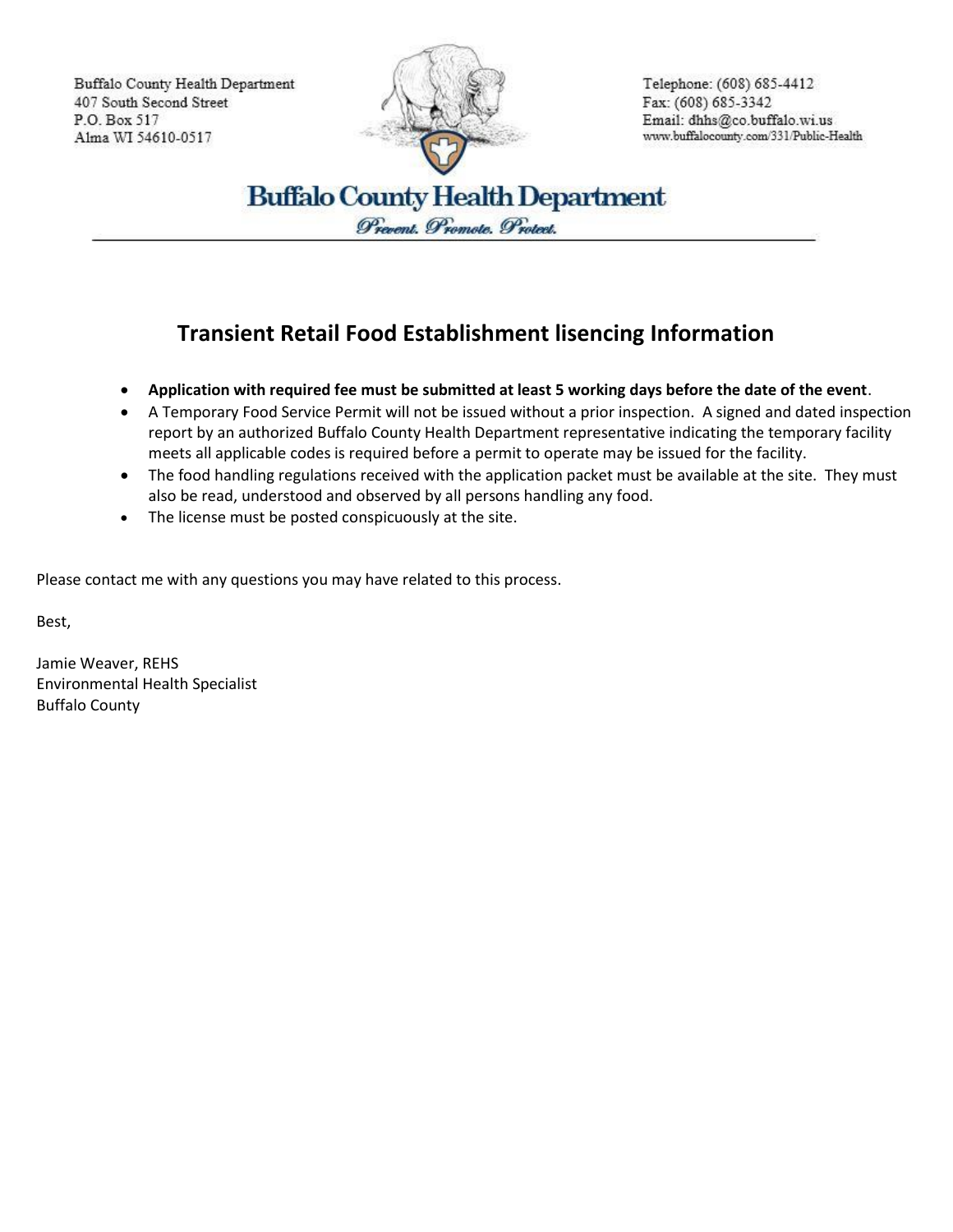Buffalo County Health Department 407 South Second Street P.O. Box 517 Alma WI 54610-0517



Telephone: (608) 685-4412 Fax: (608) 685-3342 Email: dhhs@co.buffalo.wi.us www.buffalocounty.com/331/Public-Health

**Buffalo County Health Department** Prevent. Promote. Protect.

## **Transient Retail Food Establishment lisencing Information**

- **Application with required fee must be submitted at least 5 working days before the date of the event**.
- A Temporary Food Service Permit will not be issued without a prior inspection. A signed and dated inspection report by an authorized Buffalo County Health Department representative indicating the temporary facility meets all applicable codes is required before a permit to operate may be issued for the facility.
- The food handling regulations received with the application packet must be available at the site. They must also be read, understood and observed by all persons handling any food.
- The license must be posted conspicuously at the site.

Please contact me with any questions you may have related to this process.

Best,

Jamie Weaver, REHS Environmental Health Specialist Buffalo County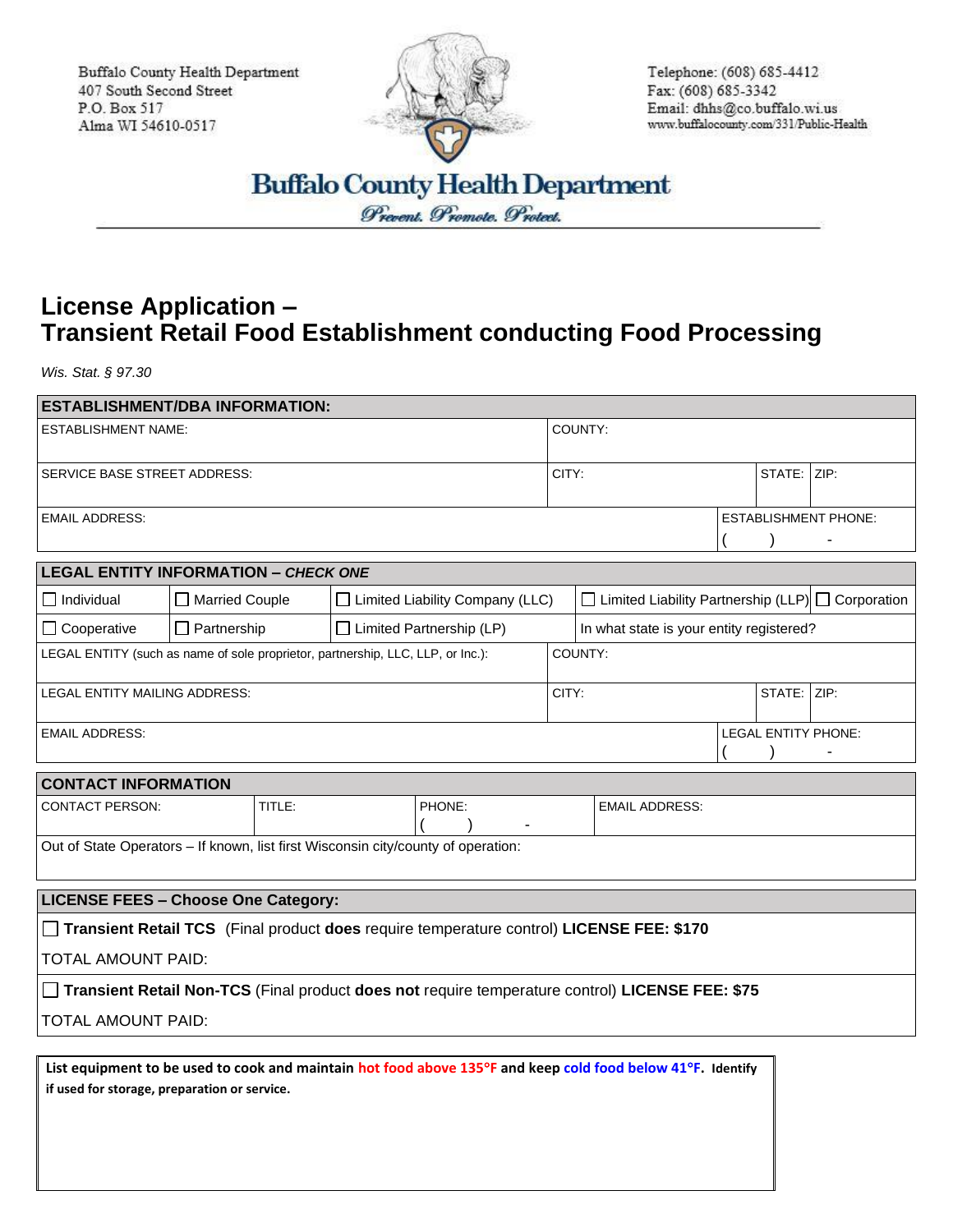Buffalo County Health Department 407 South Second Street P.O. Box 517 Alma WI 54610-0517



Telephone: (608) 685-4412 Fax: (608) 685-3342 Email: dhhs@co.buffalo.wi.us www.buffalocounty.com/331/Public-Health

**Buffalo County Health Department** 

Prevent. Promote. Protect.

## **License Application – Transient Retail Food Establishment conducting Food Processing**

*Wis. Stat. § 97.30*

| <b>ESTABLISHMENT/DBA INFORMATION:</b>                                                           |                                                                                                             |                                   |        |         |                                                               |  |             |                             |
|-------------------------------------------------------------------------------------------------|-------------------------------------------------------------------------------------------------------------|-----------------------------------|--------|---------|---------------------------------------------------------------|--|-------------|-----------------------------|
| <b>ESTABLISHMENT NAME:</b>                                                                      |                                                                                                             |                                   |        | COUNTY: |                                                               |  |             |                             |
| <b>SERVICE BASE STREET ADDRESS:</b>                                                             |                                                                                                             |                                   |        | CITY:   |                                                               |  | STATE: ZIP: |                             |
|                                                                                                 |                                                                                                             |                                   |        |         |                                                               |  |             |                             |
| <b>EMAIL ADDRESS:</b>                                                                           |                                                                                                             |                                   |        |         |                                                               |  |             | <b>ESTABLISHMENT PHONE:</b> |
|                                                                                                 |                                                                                                             |                                   |        |         |                                                               |  |             |                             |
| <b>LEGAL ENTITY INFORMATION - CHECK ONE</b>                                                     |                                                                                                             |                                   |        |         |                                                               |  |             |                             |
| $\Box$ Individual                                                                               | <b>Married Couple</b>                                                                                       | □ Limited Liability Company (LLC) |        |         | $\Box$ Limited Liability Partnership (LLP) $\Box$ Corporation |  |             |                             |
| $\Box$ Cooperative                                                                              | $\Box$ Partnership                                                                                          | $\Box$ Limited Partnership (LP)   |        |         | In what state is your entity registered?                      |  |             |                             |
| LEGAL ENTITY (such as name of sole proprietor, partnership, LLC, LLP, or Inc.):                 |                                                                                                             |                                   |        | COUNTY: |                                                               |  |             |                             |
| <b>LEGAL ENTITY MAILING ADDRESS:</b>                                                            |                                                                                                             |                                   |        | CITY:   |                                                               |  | STATE: ZIP: |                             |
| <b>EMAIL ADDRESS:</b>                                                                           |                                                                                                             |                                   |        |         |                                                               |  |             | LEGAL ENTITY PHONE:         |
| <b>CONTACT INFORMATION</b>                                                                      |                                                                                                             |                                   |        |         |                                                               |  |             |                             |
| <b>CONTACT PERSON:</b>                                                                          | TITLE:                                                                                                      |                                   | PHONE: |         | <b>EMAIL ADDRESS:</b>                                         |  |             |                             |
| Out of State Operators - If known, list first Wisconsin city/county of operation:               |                                                                                                             |                                   |        |         |                                                               |  |             |                             |
| <b>LICENSE FEES - Choose One Category:</b>                                                      |                                                                                                             |                                   |        |         |                                                               |  |             |                             |
| Transient Retail TCS (Final product does require temperature control) LICENSE FEE: \$170        |                                                                                                             |                                   |        |         |                                                               |  |             |                             |
| <b>TOTAL AMOUNT PAID:</b>                                                                       |                                                                                                             |                                   |        |         |                                                               |  |             |                             |
| Transient Retail Non-TCS (Final product does not require temperature control) LICENSE FEE: \$75 |                                                                                                             |                                   |        |         |                                                               |  |             |                             |
| TOTAL AMOUNT PAID:                                                                              |                                                                                                             |                                   |        |         |                                                               |  |             |                             |
| if used for storage, preparation or service.                                                    | List equipment to be used to cook and maintain hot food above 135°F and keep cold food below 41°F. Identify |                                   |        |         |                                                               |  |             |                             |